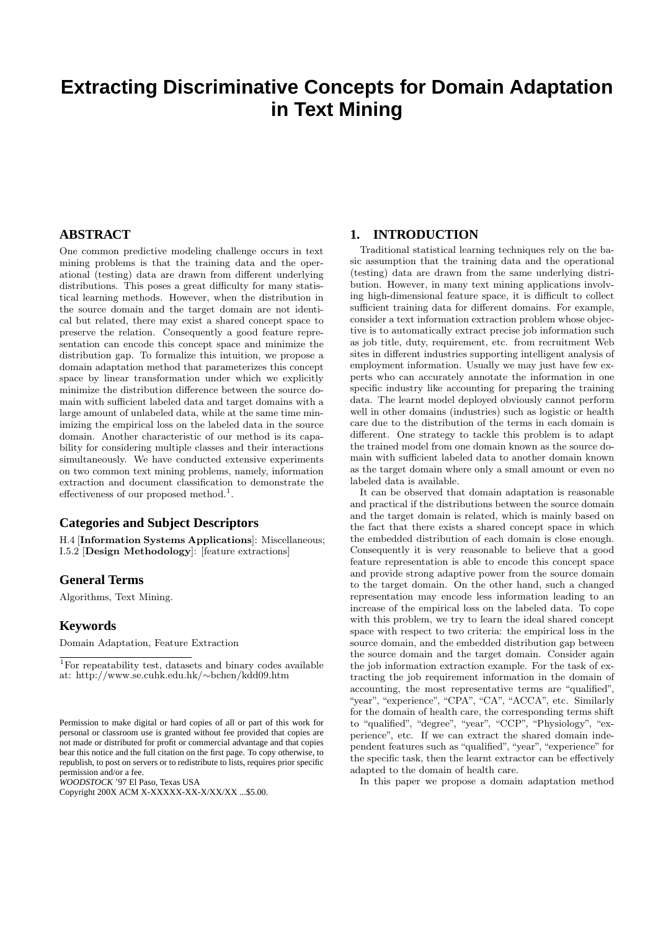# **Extracting Discriminative Concepts for Domain Adaptation in Text Mining**

# **ABSTRACT**

One common predictive modeling challenge occurs in text mining problems is that the training data and the operational (testing) data are drawn from different underlying distributions. This poses a great difficulty for many statistical learning methods. However, when the distribution in the source domain and the target domain are not identical but related, there may exist a shared concept space to preserve the relation. Consequently a good feature representation can encode this concept space and minimize the distribution gap. To formalize this intuition, we propose a domain adaptation method that parameterizes this concept space by linear transformation under which we explicitly minimize the distribution difference between the source domain with sufficient labeled data and target domains with a large amount of unlabeled data, while at the same time minimizing the empirical loss on the labeled data in the source domain. Another characteristic of our method is its capability for considering multiple classes and their interactions simultaneously. We have conducted extensive experiments on two common text mining problems, namely, information extraction and document classification to demonstrate the effectiveness of our proposed method.<sup>1</sup>.

# **Categories and Subject Descriptors**

H.4 [Information Systems Applications]: Miscellaneous; I.5.2 [Design Methodology]: [feature extractions]

# **General Terms**

Algorithms, Text Mining.

# **Keywords**

Domain Adaptation, Feature Extraction

*WOODSTOCK* '97 El Paso, Texas USA

Copyright 200X ACM X-XXXXX-XX-X/XX/XX ...\$5.00.

# **1. INTRODUCTION**

Traditional statistical learning techniques rely on the basic assumption that the training data and the operational (testing) data are drawn from the same underlying distribution. However, in many text mining applications involving high-dimensional feature space, it is difficult to collect sufficient training data for different domains. For example, consider a text information extraction problem whose objective is to automatically extract precise job information such as job title, duty, requirement, etc. from recruitment Web sites in different industries supporting intelligent analysis of employment information. Usually we may just have few experts who can accurately annotate the information in one specific industry like accounting for preparing the training data. The learnt model deployed obviously cannot perform well in other domains (industries) such as logistic or health care due to the distribution of the terms in each domain is different. One strategy to tackle this problem is to adapt the trained model from one domain known as the source domain with sufficient labeled data to another domain known as the target domain where only a small amount or even no labeled data is available.

It can be observed that domain adaptation is reasonable and practical if the distributions between the source domain and the target domain is related, which is mainly based on the fact that there exists a shared concept space in which the embedded distribution of each domain is close enough. Consequently it is very reasonable to believe that a good feature representation is able to encode this concept space and provide strong adaptive power from the source domain to the target domain. On the other hand, such a changed representation may encode less information leading to an increase of the empirical loss on the labeled data. To cope with this problem, we try to learn the ideal shared concept space with respect to two criteria: the empirical loss in the source domain, and the embedded distribution gap between the source domain and the target domain. Consider again the job information extraction example. For the task of extracting the job requirement information in the domain of accounting, the most representative terms are "qualified", "year", "experience", "CPA", "CA", "ACCA", etc. Similarly for the domain of health care, the corresponding terms shift to "qualified", "degree", "year", "CCP", "Physiology", "experience", etc. If we can extract the shared domain independent features such as "qualified", "year", "experience" for the specific task, then the learnt extractor can be effectively adapted to the domain of health care.

In this paper we propose a domain adaptation method

 $^1\rm{For}$  repeatability test, datasets and binary codes available at: http://www.se.cuhk.edu.hk/∼bchen/kdd09.htm

Permission to make digital or hard copies of all or part of this work for personal or classroom use is granted without fee provided that copies are not made or distributed for profit or commercial advantage and that copies bear this notice and the full citation on the first page. To copy otherwise, to republish, to post on servers or to redistribute to lists, requires prior specific permission and/or a fee.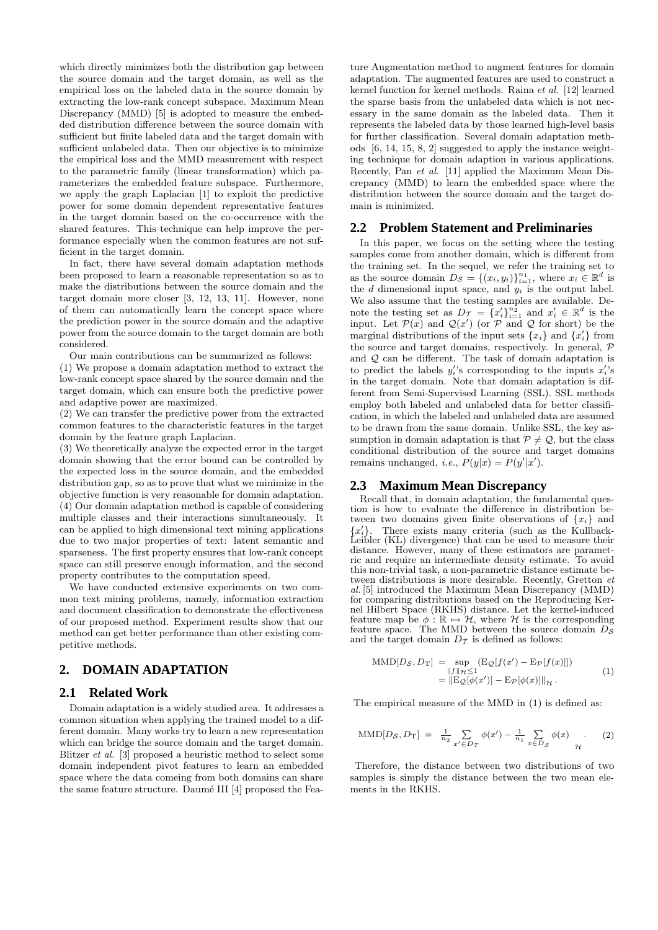which directly minimizes both the distribution gap between the source domain and the target domain, as well as the empirical loss on the labeled data in the source domain by extracting the low-rank concept subspace. Maximum Mean Discrepancy (MMD) [5] is adopted to measure the embedded distribution difference between the source domain with sufficient but finite labeled data and the target domain with sufficient unlabeled data. Then our objective is to minimize the empirical loss and the MMD measurement with respect to the parametric family (linear transformation) which parameterizes the embedded feature subspace. Furthermore, we apply the graph Laplacian [1] to exploit the predictive power for some domain dependent representative features in the target domain based on the co-occurrence with the shared features. This technique can help improve the performance especially when the common features are not sufficient in the target domain.

In fact, there have several domain adaptation methods been proposed to learn a reasonable representation so as to make the distributions between the source domain and the target domain more closer [3, 12, 13, 11]. However, none of them can automatically learn the concept space where the prediction power in the source domain and the adaptive power from the source domain to the target domain are both considered.

Our main contributions can be summarized as follows:

(1) We propose a domain adaptation method to extract the low-rank concept space shared by the source domain and the target domain, which can ensure both the predictive power and adaptive power are maximized.

(2) We can transfer the predictive power from the extracted common features to the characteristic features in the target domain by the feature graph Laplacian.

(3) We theoretically analyze the expected error in the target domain showing that the error bound can be controlled by the expected loss in the source domain, and the embedded distribution gap, so as to prove that what we minimize in the objective function is very reasonable for domain adaptation. (4) Our domain adaptation method is capable of considering multiple classes and their interactions simultaneously. It can be applied to high dimensional text mining applications due to two major properties of text: latent semantic and sparseness. The first property ensures that low-rank concept space can still preserve enough information, and the second property contributes to the computation speed.

We have conducted extensive experiments on two common text mining problems, namely, information extraction and document classification to demonstrate the effectiveness of our proposed method. Experiment results show that our method can get better performance than other existing competitive methods.

# **2. DOMAIN ADAPTATION**

# **2.1 Related Work**

Domain adaptation is a widely studied area. It addresses a common situation when applying the trained model to a different domain. Many works try to learn a new representation which can bridge the source domain and the target domain. Blitzer et al. [3] proposed a heuristic method to select some domain independent pivot features to learn an embedded space where the data comeing from both domains can share the same feature structure. Daumé III [4] proposed the Fea-

ture Augmentation method to augment features for domain adaptation. The augmented features are used to construct a kernel function for kernel methods. Raina et al. [12] learned the sparse basis from the unlabeled data which is not necessary in the same domain as the labeled data. Then it represents the labeled data by those learned high-level basis for further classification. Several domain adaptation methods [6, 14, 15, 8, 2] suggested to apply the instance weighting technique for domain adaption in various applications. Recently, Pan et al. [11] applied the Maximum Mean Discrepancy (MMD) to learn the embedded space where the distribution between the source domain and the target domain is minimized.

### **2.2 Problem Statement and Preliminaries**

In this paper, we focus on the setting where the testing samples come from another domain, which is different from the training set. In the sequel, we refer the training set to as the source domain  $D_{\mathcal{S}} = \{(x_i, y_i)\}_{i=1}^{n_1}$ , where  $x_i \in \mathbb{R}^d$  is the  $d$  dimensional input space, and  $y_i$  is the output label. We also assume that the testing samples are available. Denote the testing set as  $D_{\mathcal{T}} = \{x_i'\}_{i=1}^{n_2}$  and  $x_i' \in \mathbb{R}^d$  is the input. Let  $\mathcal{P}(x)$  and  $\mathcal{Q}(x')$  (or  $\mathcal P$  and  $\mathcal Q$  for short) be the marginal distributions of the input sets  $\{x_i\}$  and  $\{x'_i\}$  from the source and target domains, respectively. In general,  $\mathcal{P}$ and Q can be different. The task of domain adaptation is to predict the labels  $y_i$ 's corresponding to the inputs  $x_i$ 's in the target domain. Note that domain adaptation is different from Semi-Supervised Learning (SSL). SSL methods employ both labeled and unlabeled data for better classification, in which the labeled and unlabeled data are assumed to be drawn from the same domain. Unlike SSL, the key assumption in domain adaptation is that  $P \neq Q$ , but the class conditional distribution of the source and target domains remains unchanged, *i.e.*,  $P(y|x) = P(y'|x')$ .

#### **2.3 Maximum Mean Discrepancy**

Recall that, in domain adaptation, the fundamental question is how to evaluate the difference in distribution between two domains given finite observations of  $\{x_i\}$  and  $\{x_i^{\prime}\}$ There exists many criteria (such as the Kullback-Leibler (KL) divergence) that can be used to measure their distance. However, many of these estimators are parametric and require an intermediate density estimate. To avoid this non-trivial task, a non-parametric distance estimate between distributions is more desirable. Recently, Gretton et al. [5] introduced the Maximum Mean Discrepancy (MMD) for comparing distributions based on the Reproducing Kernel Hilbert Space (RKHS) distance. Let the kernel-induced feature map be  $\phi : \mathbb{R} \mapsto \mathcal{H}$ , where H is the corresponding feature space. The MMD between the source domain  $D_{\mathcal{S}}$ and the target domain  $D_{\mathcal{T}}$  is defined as follows:

$$
\begin{aligned} \text{MMD}[D_{\mathcal{S}}, D_{\text{T}}] &= \sup_{\|f\|_{\mathcal{H}} \le 1} (\text{E}_{\mathcal{Q}}[f(x') - \text{E}_{\mathcal{P}}[f(x)]]) \\ &= \|\text{E}_{\mathcal{Q}}[\phi(x')] - \text{E}_{\mathcal{P}}[\phi(x)]\|_{\mathcal{H}}. \end{aligned} \tag{1}
$$

The empirical measure of the MMD in (1) is defined as:

$$
MMD[D_{S}, D_{T}] = \frac{1}{n_{2}} \sum_{x' \in D_{T}} \phi(x') - \frac{1}{n_{1}} \sum_{x \in D_{S}} \phi(x) \quad .
$$
 (2)

Therefore, the distance between two distributions of two samples is simply the distance between the two mean elements in the RKHS.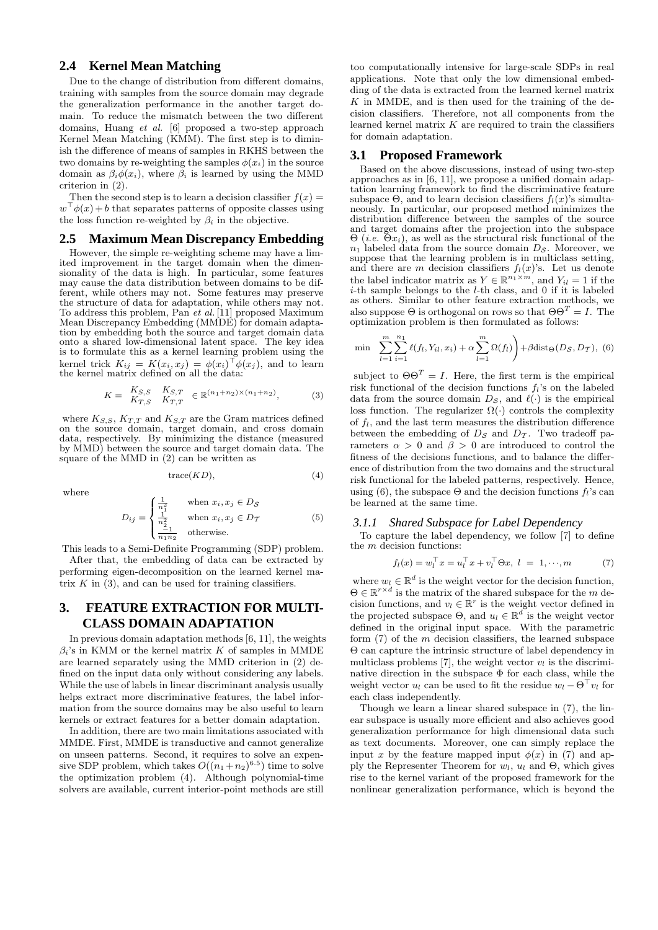# **2.4 Kernel Mean Matching**

Due to the change of distribution from different domains, training with samples from the source domain may degrade the generalization performance in the another target domain. To reduce the mismatch between the two different domains, Huang et al. [6] proposed a two-step approach Kernel Mean Matching (KMM). The first step is to diminish the difference of means of samples in RKHS between the two domains by re-weighting the samples  $\phi(x_i)$  in the source domain as  $\beta_i \phi(x_i)$ , where  $\beta_i$  is learned by using the MMD criterion in (2).

Then the second step is to learn a decision classifier  $f(x) =$  $w^{\top}\phi(x)+b$  that separates patterns of opposite classes using the loss function re-weighted by  $\beta_i$  in the objective.

### **2.5 Maximum Mean Discrepancy Embedding**

However, the simple re-weighting scheme may have a limited improvement in the target domain when the dimensionality of the data is high. In particular, some features may cause the data distribution between domains to be different, while others may not. Some features may preserve the structure of data for adaptation, while others may not. To address this problem, Pan et al. [11] proposed Maximum Mean Discrepancy Embedding (MMDE) for domain adaptation by embedding both the source and target domain data onto a shared low-dimensional latent space. The key idea is to formulate this as a kernel learning problem using the kernel trick  $K_{ij} = K(x_i, x_j) = \phi(x_i)^\top \phi(x_j)$ , and to learn the kernel matrix defined on all the data:

$$
K = \begin{array}{ll} K_{S,S} & K_{S,T} \\ K_{T,S} & K_{T,T} \end{array} \in \mathbb{R}^{(n_1 + n_2) \times (n_1 + n_2)}, \tag{3}
$$

where  $K_{S,S}, K_{T,T}$  and  $K_{S,T}$  are the Gram matrices defined on the source domain, target domain, and cross domain data, respectively. By minimizing the distance (measured by MMD) between the source and target domain data. The square of the MMD in (2) can be written as

$$
trace(KD),\tag{4}
$$

where

$$
D_{ij} = \begin{cases} \frac{1}{n_1^2} & \text{when } x_i, x_j \in D_{\mathcal{S}}\\ \frac{1}{n_2^2} & \text{when } x_i, x_j \in D_{\mathcal{T}}\\ \frac{1}{n_1 n_2} & \text{otherwise.} \end{cases} \tag{5}
$$

This leads to a Semi-Definite Programming (SDP) problem. After that, the embedding of data can be extracted by performing eigen-decomposition on the learned kernel matrix  $K$  in (3), and can be used for training classifiers.

# **3. FEATURE EXTRACTION FOR MULTI-CLASS DOMAIN ADAPTATION**

In previous domain adaptation methods [6, 11], the weights  $\beta_i$ 's in KMM or the kernel matrix K of samples in MMDE are learned separately using the MMD criterion in (2) defined on the input data only without considering any labels. While the use of labels in linear discriminant analysis usually helps extract more discriminative features, the label information from the source domains may be also useful to learn kernels or extract features for a better domain adaptation.

In addition, there are two main limitations associated with MMDE. First, MMDE is transductive and cannot generalize on unseen patterns. Second, it requires to solve an expensive SDP problem, which takes  $O((n_1+n_2)^{6.5})$  time to solve the optimization problem (4). Although polynomial-time solvers are available, current interior-point methods are still

too computationally intensive for large-scale SDPs in real applications. Note that only the low dimensional embedding of the data is extracted from the learned kernel matrix  $K$  in MMDE, and is then used for the training of the decision classifiers. Therefore, not all components from the learned kernel matrix  $K$  are required to train the classifiers for domain adaptation.

#### **3.1 Proposed Framework**

Based on the above discussions, instead of using two-step approaches as in [6, 11], we propose a unified domain adaptation learning framework to find the discriminative feature subspace  $\Theta$ , and to learn decision classifiers  $f_l(x)$ 's simultaneously. In particular, our proposed method minimizes the distribution difference between the samples of the source and target domains after the projection into the subspace  $\Theta$  (*i.e.*  $\Theta$ x<sub>i</sub>), as well as the structural risk functional of the  $n_1$  labeled data from the source domain  $D_{\mathcal{S}}$ . Moreover, we suppose that the learning problem is in multiclass setting, and there are m decision classifiers  $f_l(x)$ 's. Let us denote the label indicator matrix as  $Y \in \mathbb{R}^{n_1 \times m}$ , and  $Y_{il} = 1$  if the i-th sample belongs to the l-th class, and 0 if it is labeled as others. Similar to other feature extraction methods, we also suppose  $\Theta$  is orthogonal on rows so that  $\Theta \Theta^T = I$ . The optimization problem is then formulated as follows:

$$
\min \sum_{l=1}^{m} \sum_{i=1}^{n_1} \ell(f_l, Y_{il}, x_i) + \alpha \sum_{l=1}^{m} \Omega(f_l) \bigg) + \beta \text{dist}_{\Theta}(D_{\mathcal{S}}, D_{\mathcal{T}}), \tag{6}
$$

subject to  $\Theta \Theta^T = I$ . Here, the first term is the empirical risk functional of the decision functions  $f_i$ 's on the labeled data from the source domain  $D_{\mathcal{S}}$ , and  $\ell(\cdot)$  is the empirical loss function. The regularizer  $\Omega(\cdot)$  controls the complexity of  $f_l$ , and the last term measures the distribution difference between the embedding of  $D<sub>S</sub>$  and  $D<sub>T</sub>$ . Two tradeoff parameters  $\alpha > 0$  and  $\beta > 0$  are introduced to control the fitness of the decisions functions, and to balance the difference of distribution from the two domains and the structural risk functional for the labeled patterns, respectively. Hence, using (6), the subspace  $\Theta$  and the decision functions  $f_l$ 's can be learned at the same time.

#### *3.1.1 Shared Subspace for Label Dependency*

To capture the label dependency, we follow [7] to define the m decision functions:

$$
f_l(x) = w_l^{\top} x = u_l^{\top} x + v_l^{\top} \Theta x, \ l = 1, \cdots, m \tag{7}
$$

where  $w_l \in \mathbb{R}^d$  is the weight vector for the decision function,  $\Theta \in \mathbb{R}^{r \times d}$  is the matrix of the shared subspace for the m decision functions, and  $v_l \in \mathbb{R}^r$  is the weight vector defined in the projected subspace  $\Theta$ , and  $u_l \in \mathbb{R}^d$  is the weight vector defined in the original input space. With the parametric form  $(7)$  of the m decision classifiers, the learned subspace Θ can capture the intrinsic structure of label dependency in multiclass problems [7], the weight vector  $v_l$  is the discriminative direction in the subspace  $\Phi$  for each class, while the weight vector  $u_l$  can be used to fit the residue  $w_l - \Theta^\top v_l$  for each class independently.

Though we learn a linear shared subspace in (7), the linear subspace is usually more efficient and also achieves good generalization performance for high dimensional data such as text documents. Moreover, one can simply replace the input x by the feature mapped input  $\phi(x)$  in (7) and apply the Representer Theorem for  $w_l$ ,  $u_l$  and  $\Theta$ , which gives rise to the kernel variant of the proposed framework for the nonlinear generalization performance, which is beyond the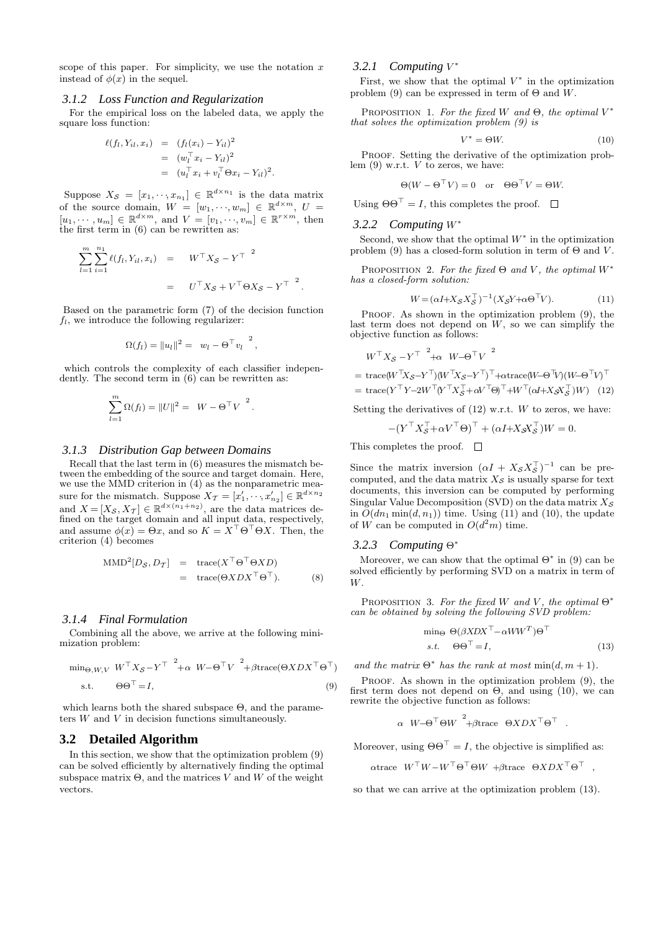scope of this paper. For simplicity, we use the notation  $x$ instead of  $\phi(x)$  in the sequel.

#### *3.1.2 Loss Function and Regularization*

For the empirical loss on the labeled data, we apply the square loss function:

$$
\ell(f_l, Y_{il}, x_i) = (f_l(x_i) - Y_{il})^2
$$
  
=  $(w_l^\top x_i - Y_{il})^2$   
=  $(u_l^\top x_i + v_l^\top \Theta x_i - Y_{il})^2$ .

Suppose  $X_{\mathcal{S}} = [x_1, \dots, x_{n_1}] \in \mathbb{R}^{d \times n_1}$  is the data matrix of the source domain,  $W = [w_1, \dots, w_m] \in \mathbb{R}^{d \times m}$ ,  $U =$  $[u_1, \dots, u_m] \in \mathbb{R}^{d \times m}$ , and  $V = [v_1, \dots, v_m] \in \mathbb{R}^{r \times m}$ , then the first term in (6) can be rewritten as:

$$
\sum_{l=1}^{m} \sum_{i=1}^{n_1} \ell(f_l, Y_{il}, x_i) = W^{\top} X_{\mathcal{S}} - Y^{\top}^2
$$
  
=  $U^{\top} X_{\mathcal{S}} + V^{\top} \Theta X_{\mathcal{S}} - Y^{\top}^2$ .

Based on the parametric form (7) of the decision function  $f_l$ , we introduce the following regularizer:

$$
\Omega(f_l) = ||u_l||^2 = w_l - \Theta^{\top} v_l^{2},
$$

which controls the complexity of each classifier independently. The second term in (6) can be rewritten as:

$$
\sum_{l=1}^{m} \Omega(f_l) = ||U||^2 = W - \Theta^{\top} V^{-2}.
$$

#### *3.1.3 Distribution Gap between Domains*

Recall that the last term in (6) measures the mismatch between the embedding of the source and target domain. Here, we use the MMD criterion in (4) as the nonparametric measure for the mismatch. Suppose  $X_{\mathcal{T}} = [x'_1, \cdots, x'_{n_2}] \in \mathbb{R}^{d \times n_2}$ and  $X = [X_{\mathcal{S}}, X_{\mathcal{T}}] \in \mathbb{R}^{d \times (n_1 + n_2)}$ , are the data matrices defined on the target domain and all input data, respectively, and assume  $\phi(x) = \Theta x$ , and so  $K = X^{\top} \Theta^{\top} \Theta X$ . Then, the criterion (4) becomes

$$
\text{MMD}^2[D_S, D_T] = \text{trace}(X^\top \Theta^\top \Theta X D) \n= \text{trace}(\Theta X D X^\top \Theta^\top). \tag{8}
$$

#### *3.1.4 Final Formulation*

Combining all the above, we arrive at the following minimization problem:

$$
\begin{aligned}\n\min_{\Theta, W, V} W^{\top} X_{\mathcal{S}} - Y^{\top} \xrightarrow{2} + \alpha W - \Theta^{\top} V \xrightarrow{2} + \beta \text{trace}(\Theta X D X^{\top} \Theta^{\top}) \\
\text{s.t.} \qquad \Theta \Theta^{\top} = I,\n\end{aligned} \tag{9}
$$

which learns both the shared subspace  $\Theta$ , and the parameters  $W$  and  $V$  in decision functions simultaneously.

#### **3.2 Detailed Algorithm**

In this section, we show that the optimization problem (9) can be solved efficiently by alternatively finding the optimal subspace matrix  $\Theta$ , and the matrices V and W of the weight vectors.

### 3.2.1 Computing  $V^*$

First, we show that the optimal  $V^*$  in the optimization problem (9) can be expressed in term of  $\Theta$  and W.

PROPOSITION 1. For the fixed W and  $\Theta$ , the optimal  $V^*$ that solves the optimization problem (9) is

$$
V^* = \Theta W.\t(10)
$$

PROOF. Setting the derivative of the optimization problem  $(9)$  w.r.t.  $V$  to zeros, we have:

$$
\Theta(W - \Theta^{\top} V) = 0
$$
 or  $\Theta \Theta^{\top} V = \Theta W$ .

Using  $\Theta\Theta^{\top} = I$ , this completes the proof.  $\Box$ 

#### *3.2.2 Computing* W<sup>∗</sup>

Second, we show that the optimal  $W^*$  in the optimization problem (9) has a closed-form solution in term of  $\Theta$  and V.

PROPOSITION 2. For the fixed  $\Theta$  and V, the optimal  $W^*$ has a closed-form solution:

$$
W = (\alpha I + X_{\mathcal{S}} X_{\mathcal{S}}^{\top})^{-1} (X_{\mathcal{S}} Y + \alpha \Theta^{\top} V). \tag{11}
$$

PROOF. As shown in the optimization problem  $(9)$ , the last term does not depend on  $W$ , so we can simplify the objective function as follows:

$$
W^{\top} X_S - Y^{\top} \stackrel{2}{\to} W \to 0^{\top} V \stackrel{2}{\to}
$$
  
= trace $(W^{\top} X_S - Y^{\top})(W^{\top} X_S - Y^{\top})^{\top} + \alpha \text{trace}(W \to 0^{\top} V)(W \to 0^{\top} V)^{\top}$   
= trace $(Y^{\top} Y - 2W^{\top} (Y^{\top} X_S^{\top} + \alpha V^{\top} \Theta)^{\top} + W^{\top} (\alpha I + X_S X_S^{\top}) W)$  (12)

Setting the derivatives of  $(12)$  w.r.t. W to zeros, we have:

$$
-(Y^{\top} X_{\mathcal{S}}^{\top} + \alpha V^{\top} \Theta)^{\top} + (\alpha I + X_{\mathcal{S}} X_{\mathcal{S}}^{\top}) W = 0.
$$

This completes the proof.  $\square$ 

Since the matrix inversion  $(\alpha I + X_{\mathcal{S}} X_{\mathcal{S}}^{\top})^{-1}$  can be precomputed, and the data matrix  $X_{\mathcal{S}}$  is usually sparse for text documents, this inversion can be computed by performing Singular Value Decomposition (SVD) on the data matrix  $X_{\mathcal{S}}$ in  $O(dn_1 \min(d, n_1))$  time. Using (11) and (10), the update of W can be computed in  $O(d^2m)$  time.

### *3.2.3 Computing* Θ ∗

Moreover, we can show that the optimal  $\Theta^*$  in (9) can be solved efficiently by performing SVD on a matrix in term of W.

PROPOSITION 3. For the fixed W and V, the optimal  $\Theta^*$ can be obtained by solving the following SVD problem:

$$
\begin{aligned}\n\min_{\Theta} \Theta(\beta X DX^{\top} - \alpha WW^T) \Theta^{\top} \\
s.t. \quad \Theta \Theta^{\top} = I,\n\end{aligned} \n\tag{13}
$$

and the matrix  $\Theta^*$  has the rank at most min $(d, m + 1)$ .

PROOF. As shown in the optimization problem  $(9)$ , the first term does not depend on  $\Theta$ , and using (10), we can rewrite the objective function as follows:

 $\alpha$  W− $\Theta^{\top} \Theta W \xrightarrow{2} \beta$ trace  $\Theta X D X^{\top} \Theta^{\top}$  .

Moreover, using  $\Theta\Theta^{\top} = I$ , the objective is simplified as:

$$
\alpha \text{trace} \quad W^\top W - W^\top \Theta^\top \Theta W \text{ } + \beta \text{trace} \text{ } \Theta X D X^\top \Theta^\top \text{ },
$$

so that we can arrive at the optimization problem (13).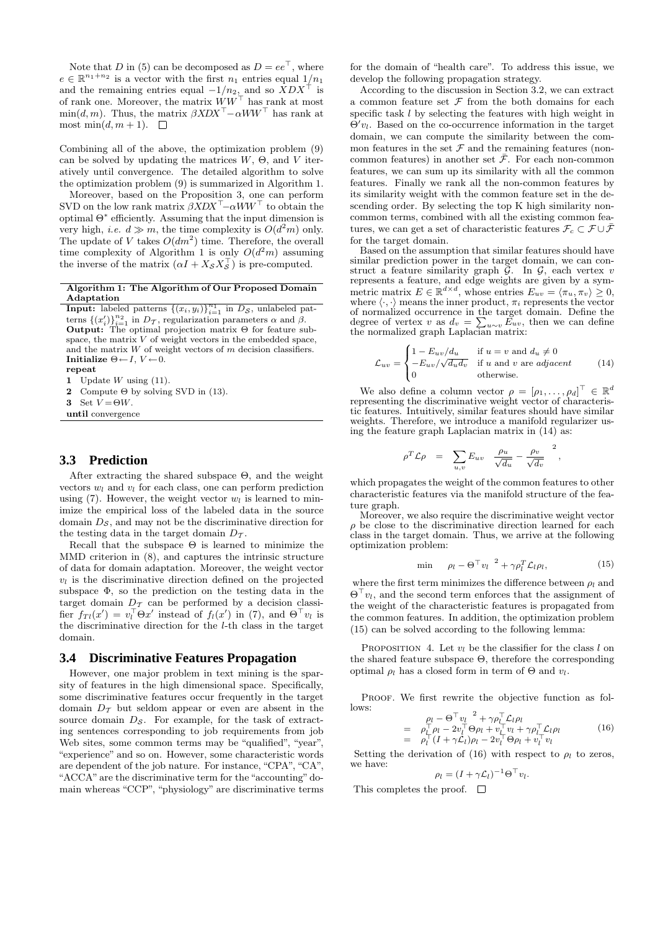Note that D in (5) can be decomposed as  $D = ee^{\top}$ , where  $e \in \mathbb{R}^{n_1+n_2}$  is a vector with the first  $n_1$  entries equal  $1/n_1$ and the remaining entries equal  $-1/n_2$ , and so  $XDX^{\top}$  is of rank one. Moreover, the matrix  $\dot{W}W^{\top}$  has rank at most  $\min(d, m)$ . Thus, the matrix  $\beta XDX^{\top} - \alpha WW^{\top}$  has rank at most min $(d, m + 1)$ .  $\Box$ 

Combining all of the above, the optimization problem (9) can be solved by updating the matrices  $W$ ,  $\Theta$ , and  $V$  iteratively until convergence. The detailed algorithm to solve the optimization problem (9) is summarized in Algorithm 1.

Moreover, based on the Proposition 3, one can perform SVD on the low rank matrix  $\beta XDX^{\top} - \alpha WW^{\top}$  to obtain the optimal Θ<sup>∗</sup> efficiently. Assuming that the input dimension is very high, *i.e.*  $d \gg m$ , the time complexity is  $O(d^2m)$  only. The update of V takes  $O(dm^2)$  time. Therefore, the overall time complexity of Algorithm 1 is only  $O(d^2m)$  assuming the inverse of the matrix  $(\alpha I + X_{\mathcal{S}} X_{\mathcal{S}}^{\top})$  is pre-computed.

#### Algorithm 1: The Algorithm of Our Proposed Domain Adaptation

**Input:** labeled patterns  $\{(x_i, y_i)\}_{i=1}^{n_1}$  in  $D_S$ , unlabeled patterns  $\{(x'_i)\}_{i=1}^{n_2}$  in  $D_{\mathcal{T}}$ , regularization parameters  $\alpha$  and  $\beta$ . Output: The optimal projection matrix Θ for feature subspace, the matrix  $V$  of weight vectors in the embedded space, and the matrix  $W$  of weight vectors of  $m$  decision classifiers. Initialize  $\Theta \leftarrow I, V \leftarrow 0$ . repeat 1 Update  $W$  using  $(11)$ .

- 
- **2** Compute  $\Theta$  by solving SVD in (13).
- 3 Set  $V = \Theta W$ .

### until convergence

# **3.3 Prediction**

After extracting the shared subspace Θ, and the weight vectors  $w_l$  and  $v_l$  for each class, one can perform prediction using (7). However, the weight vector  $w_l$  is learned to minimize the empirical loss of the labeled data in the source domain  $D_{\mathcal{S}}$ , and may not be the discriminative direction for the testing data in the target domain  $D_{\mathcal{T}}$ .

Recall that the subspace  $\Theta$  is learned to minimize the MMD criterion in (8), and captures the intrinsic structure of data for domain adaptation. Moreover, the weight vector  $v_l$  is the discriminative direction defined on the projected subspace  $\Phi$ , so the prediction on the testing data in the target domain  $D<sub>T</sub>$  can be performed by a decision classifier  $f_{Tl}(x') = v_l^{\top} \Theta x'$  instead of  $f_l(x')$  in (7), and  $\Theta^{\top} v_l$  is the discriminative direction for the l-th class in the target domain.

### **3.4 Discriminative Features Propagation**

However, one major problem in text mining is the sparsity of features in the high dimensional space. Specifically, some discriminative features occur frequently in the target domain  $D<sub>T</sub>$  but seldom appear or even are absent in the source domain  $D_{\mathcal{S}}$ . For example, for the task of extracting sentences corresponding to job requirements from job Web sites, some common terms may be "qualified", "year", "experience" and so on. However, some characteristic words are dependent of the job nature. For instance, "CPA", "CA", "ACCA" are the discriminative term for the "accounting" domain whereas "CCP", "physiology" are discriminative terms

for the domain of "health care". To address this issue, we develop the following propagation strategy.

According to the discussion in Section 3.2, we can extract a common feature set  $\mathcal F$  from the both domains for each specific task  $l$  by selecting the features with high weight in  $\Theta' v_l$ . Based on the co-occurrence information in the target domain, we can compute the similarity between the common features in the set  $\mathcal F$  and the remaining features (noncommon features) in another set  $\overline{\mathcal{F}}$ . For each non-common features, we can sum up its similarity with all the common features. Finally we rank all the non-common features by its similarity weight with the common feature set in the descending order. By selecting the top K high similarity noncommon terms, combined with all the existing common features, we can get a set of characteristic features  $\mathcal{F}_c \subset \mathcal{F} \cup \bar{\mathcal{F}}$ for the target domain.

Based on the assumption that similar features should have similar prediction power in the target domain, we can construct a feature similarity graph  $\check{G}$ . In  $\mathcal{G}$ , each vertex v represents a feature, and edge weights are given by a symmetric matrix  $E \in \mathbb{R}^{d \times d}$ , whose entries  $E_{uv} = \langle \pi_u, \pi_v \rangle \geq 0$ , where  $\langle \cdot, \cdot \rangle$  means the inner product,  $\pi_i$  represents the vector of normalized occurrence in the target domain. Define the degree of vertex v as  $d_v = \sum_{u \sim v} E_{uv}$ , then we can define the normalized graph Laplacian matrix:

$$
\mathcal{L}_{uv} = \begin{cases}\n1 - E_{uv}/d_u & \text{if } u = v \text{ and } d_u \neq 0 \\
-E_{uv}/\sqrt{d_u d_v} & \text{if } u \text{ and } v \text{ are adjacent} \\
0 & \text{otherwise.} \n\end{cases}
$$
\n(14)

We also define a column vector  $\rho = [\rho_1, \ldots, \rho_d]^\top \in \mathbb{R}^d$ representing the discriminative weight vector of characteristic features. Intuitively, similar features should have similar weights. Therefore, we introduce a manifold regularizer using the feature graph Laplacian matrix in (14) as:

$$
\rho^T \mathcal{L} \rho = \sum_{u,v} E_{uv} \frac{\rho_u}{\sqrt{d_u}} - \frac{\rho_v}{\sqrt{d_v}}^2
$$

which propagates the weight of the common features to other characteristic features via the manifold structure of the feature graph.

Moreover, we also require the discriminative weight vector  $\rho$  be close to the discriminative direction learned for each class in the target domain. Thus, we arrive at the following optimization problem:

$$
\min \qquad \rho_l - \Theta^{\top} v_l \rvert^2 + \gamma \rho_l^T \mathcal{L}_l \rho_l, \tag{15}
$$

,

where the first term minimizes the difference between  $\rho_l$  and  $\Theta^{\top} v_l$ , and the second term enforces that the assignment of the weight of the characteristic features is propagated from the common features. In addition, the optimization problem (15) can be solved according to the following lemma:

PROPOSITION 4. Let  $v_l$  be the classifier for the class l on the shared feature subspace  $\Theta$ , therefore the corresponding optimal  $\rho_l$  has a closed form in term of  $\Theta$  and  $v_l$ .

PROOF. We first rewrite the objective function as follows:

$$
\rho_l - \Theta^{\top} v_l^2 + \gamma \rho_l^{\top} \mathcal{L}_l \rho_l \n= \rho_l^{\top} \rho_l - 2v_l^{\top} \Theta \rho_l + v_l^{\top} v_l + \gamma \rho_l^{\top} \mathcal{L}_l \rho_l \n= \rho_l^{\top} (I + \gamma \mathcal{L}_l) \rho_l - 2v_l^{\top} \Theta \rho_l + v_l^{\top} v_l
$$
\n(16)

Setting the derivation of (16) with respect to  $\rho_l$  to zeros, we have:

 $\rho_l = (I + \gamma \mathcal{L}_l)^{-1} \Theta^{\top} v_l.$ 

This completes the proof.  $\square$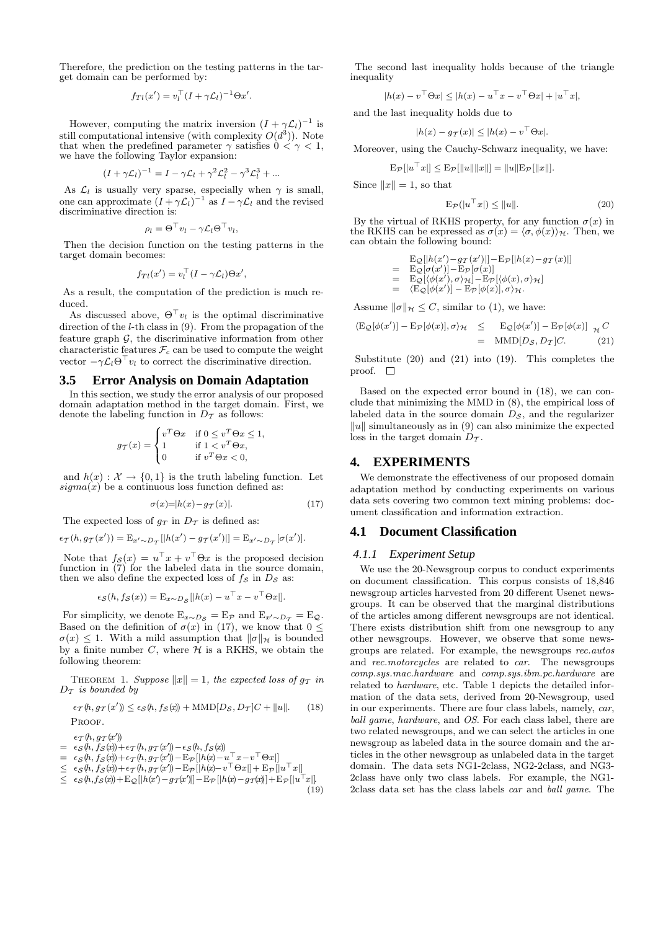Therefore, the prediction on the testing patterns in the target domain can be performed by:

$$
f_{Tl}(x') = v_l^\top (I + \gamma \mathcal{L}_l)^{-1} \Theta x'.
$$

However, computing the matrix inversion  $(I + \gamma \mathcal{L}_l)^{-1}$  is still computational intensive (with complexity  $O(d^3)$ ). Note that when the predefined parameter  $\gamma$  satisfies  $0 \leq \gamma < 1$ , we have the following Taylor expansion:

$$
(I + \gamma \mathcal{L}_l)^{-1} = I - \gamma \mathcal{L}_l + \gamma^2 \mathcal{L}_l^2 - \gamma^3 \mathcal{L}_l^3 + \dots
$$

As  $\mathcal{L}_l$  is usually very sparse, especially when  $\gamma$  is small, one can approximate  $(I + \gamma \mathcal{L}_l)^{-1}$  as  $I - \gamma \mathcal{L}_l$  and the revised discriminative direction is:

$$
\rho_l = \Theta^{\top} v_l - \gamma \mathcal{L}_l \Theta^{\top} v_l,
$$

Then the decision function on the testing patterns in the target domain becomes:

$$
f_{Tl}(x') = v_l^{\top} (I - \gamma \mathcal{L}_l) \Theta x',
$$

As a result, the computation of the prediction is much reduced.

As discussed above,  $\Theta^{\top}v_l$  is the optimal discriminative direction of the l-th class in (9). From the propagation of the feature graph  $\mathcal{G}$ , the discriminative information from other characteristic features  $\mathcal{F}_c$  can be used to compute the weight vector  $-\gamma \mathcal{L}_l \Theta^{\top} v_l$  to correct the discriminative direction.

### **3.5 Error Analysis on Domain Adaptation**

In this section, we study the error analysis of our proposed domain adaptation method in the target domain. First, we denote the labeling function in  $D<sub>T</sub>$  as follows:

$$
g_T(x) = \begin{cases} v^T \Theta x & \text{if } 0 \le v^T \Theta x \le 1, \\ 1 & \text{if } 1 < v^T \Theta x, \\ 0 & \text{if } v^T \Theta x < 0, \end{cases}
$$

and  $h(x): \mathcal{X} \to \{0,1\}$  is the truth labeling function. Let  $sigma(x)$  be a continuous loss function defined as:

$$
\sigma(x)=|h(x)-g_T(x)|.\tag{17}
$$

The expected loss of  $g_T$  in  $D_T$  is defined as:

 $\epsilon_{\mathcal{T}}(h, g_{\mathcal{T}}(x')) = \mathbb{E}_{x' \sim D_{\mathcal{T}}} [|h(x') - g_{\mathcal{T}}(x')|] = \mathbb{E}_{x' \sim D_{\mathcal{T}}}[\sigma(x')].$ 

Note that  $f_{\mathcal{S}}(x) = u^{\top} x + v^{\top} \Theta x$  is the proposed decision function in (7) for the labeled data in the source domain, then we also define the expected loss of  $f_s$  in  $D_s$  as:

$$
\epsilon_{\mathcal{S}}(h, f_{\mathcal{S}}(x)) = \mathbf{E}_{x \sim D_{\mathcal{S}}}[[h(x) - u^{\top} x - v^{\top} \Theta x]].
$$

For simplicity, we denote  $E_{x \sim D_S} = E_{\mathcal{P}}$  and  $E_{x' \sim D_{\mathcal{T}}} = E_{\mathcal{Q}}$ . Based on the definition of  $\sigma(x)$  in (17), we know that  $0 \leq$  $\sigma(x) \leq 1$ . With a mild assumption that  $\|\sigma\|_{\mathcal{H}}$  is bounded by a finite number  $C$ , where  $H$  is a RKHS, we obtain the following theorem:

THEOREM 1. Suppose  $||x|| = 1$ , the expected loss of  $g_{\mathcal{T}}$  in  $D_{\mathcal{T}}$  is bounded by

$$
\epsilon_{\mathcal{T}}(h, g_{\mathcal{T}}(x')) \le \epsilon_{\mathcal{S}}(h, f_{\mathcal{S}}(x)) + \text{MMD}[D_{\mathcal{S}}, D_{\mathcal{T}}]C + ||u||. \tag{18}
$$
  
PROOF.

 $\epsilon_{\mathcal{T}}(h, g_{\mathcal{T}}(x'))$ 

 $= \epsilon_S(h, f_S(x)) + \epsilon_T(h, g_T(x')) - \epsilon_S(h, f_S(x))$ <br>  $= \epsilon_S(h, f_S(x)) + \epsilon_T(h, g_T(x')) - \text{Ex}(\vert h(x) \vert - \epsilon_S(h, f_S(x)))$ 

$$
= \epsilon_{\mathcal{S}}(h, f_{\mathcal{S}}(x)) + \epsilon_{\mathcal{T}}(h, g_{\mathcal{T}}(x')) - \mathbf{E}_{\mathcal{P}}[|h(x) - u^{\top}x - v^{\top}\Theta x|]
$$

$$
\leq \epsilon_{\mathcal{S}}(h, f_{\mathcal{S}}(x)) + \epsilon_{\mathcal{T}}(h, g_{\mathcal{T}}(x')) - \mathbb{E}_{\mathcal{P}}[|h(x) - v^{\top} \Theta x|] + \mathbb{E}_{\mathcal{P}}[|u^{\top} x|]
$$

 $\leq \epsilon_{\mathcal{S}}(h, f_{\mathcal{S}}(x)) + \mathbf{E}_{\mathcal{Q}}[|h(x) - g_{\mathcal{T}}(x')|] - \mathbf{E}_{\mathcal{P}}[|h(x) - g_{\mathcal{T}}(x)|] + \mathbf{E}_{\mathcal{P}}[|u^{\top}x|]$ 

(19)

The second last inequality holds because of the triangle inequality

$$
|h(x) - v^\top \Theta x| \le |h(x) - u^\top x - v^\top \Theta x| + |u^\top x|,
$$

$$
|h(x) - g_T(x)| \le |h(x) - v^\top \Theta x|.
$$

Moreover, using the Cauchy-Schwarz inequality, we have:

$$
E_{\mathcal{P}}[|u^{\top}x|] \leq E_{\mathcal{P}}[||u|| ||x||] = ||u||E_{\mathcal{P}}[||x||].
$$

Since  $||x|| = 1$ , so that

and the

$$
\mathbf{E}_{\mathcal{P}}(|u^{\top}x|) \le ||u||. \tag{20}
$$

By the virtual of RKHS property, for any function  $\sigma(x)$  in the RKHS can be expressed as  $\sigma(x) = \langle \sigma, \phi(x) \rangle_{\mathcal{H}}$ . Then, we can obtain the following bound:

$$
E_{\mathcal{Q}}[|h(x') - g_{\mathcal{T}}(x')|] - E_{\mathcal{P}}[|h(x) - g_{\mathcal{T}}(x)|]
$$
  
= 
$$
E_{\mathcal{Q}}[\sigma(x')] - E_{\mathcal{P}}[\sigma(x)]
$$
  
= 
$$
E_{\mathcal{Q}}[\langle \phi(x'), \sigma \rangle_{\mathcal{H}}] - E_{\mathcal{P}}[\langle \phi(x), \sigma \rangle_{\mathcal{H}}]
$$
  
= 
$$
\langle E_{\mathcal{Q}}[\phi(x')] - E_{\mathcal{P}}[\phi(x)], \sigma \rangle_{\mathcal{H}}.
$$

Assume  $\|\sigma\|_{\mathcal{H}} \leq C$ , similar to (1), we have:

$$
\langle \mathcal{E}_{\mathcal{Q}}[\phi(x')] - \mathcal{E}_{\mathcal{P}}[\phi(x)], \sigma \rangle_{\mathcal{H}} \leq \mathcal{E}_{\mathcal{Q}}[\phi(x')] - \mathcal{E}_{\mathcal{P}}[\phi(x)] \Big|_{\mathcal{H}} C
$$
  
= MMD[D<sub>S</sub>, D<sub>T</sub>]*C*. (21)

Substitute (20) and (21) into (19). This completes the proof.  $\square$ 

Based on the expected error bound in (18), we can conclude that minimizing the MMD in (8), the empirical loss of labeled data in the source domain  $D_{\mathcal{S}}$ , and the regularizer  $||u||$  simultaneously as in (9) can also minimize the expected loss in the target domain  $D_{\mathcal{T}}$ .

#### **4. EXPERIMENTS**

We demonstrate the effectiveness of our proposed domain adaptation method by conducting experiments on various data sets covering two common text mining problems: document classification and information extraction.

### **4.1 Document Classification**

#### *4.1.1 Experiment Setup*

We use the 20-Newsgroup corpus to conduct experiments on document classification. This corpus consists of 18,846 newsgroup articles harvested from 20 different Usenet newsgroups. It can be observed that the marginal distributions of the articles among different newsgroups are not identical. There exists distribution shift from one newsgroup to any other newsgroups. However, we observe that some newsgroups are related. For example, the newsgroups rec.autos and rec.motorcycles are related to car. The newsgroups comp.sys.mac.hardware and comp.sys.ibm.pc.hardware are related to hardware, etc. Table 1 depicts the detailed information of the data sets, derived from 20-Newsgroup, used in our experiments. There are four class labels, namely, car, ball game, hardware, and OS. For each class label, there are two related newsgroups, and we can select the articles in one newsgroup as labeled data in the source domain and the articles in the other newsgroup as unlabeled data in the target domain. The data sets NG1-2class, NG2-2class, and NG3- 2class have only two class labels. For example, the NG1- 2class data set has the class labels car and ball game. The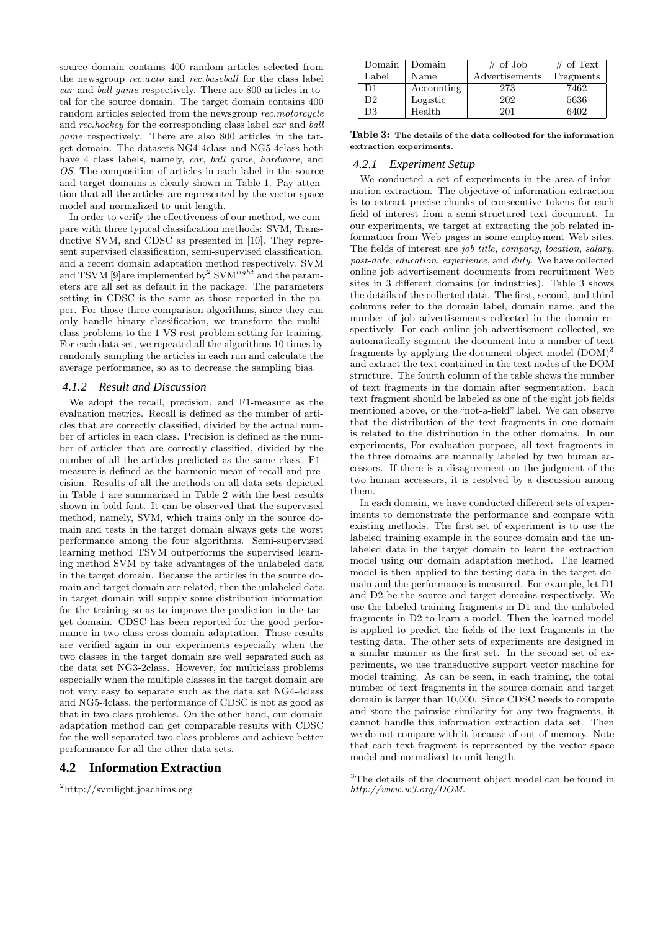source domain contains 400 random articles selected from the newsgroup rec.auto and rec.baseball for the class label car and ball game respectively. There are 800 articles in total for the source domain. The target domain contains 400 random articles selected from the newsgroup rec.motorcycle and rec.hockey for the corresponding class label car and ball game respectively. There are also 800 articles in the target domain. The datasets NG4-4class and NG5-4class both have 4 class labels, namely, *car*, *ball game*, *hardware*, and OS. The composition of articles in each label in the source and target domains is clearly shown in Table 1. Pay attention that all the articles are represented by the vector space model and normalized to unit length.

In order to verify the effectiveness of our method, we compare with three typical classification methods: SVM, Transductive SVM, and CDSC as presented in [10]. They represent supervised classification, semi-supervised classification, and a recent domain adaptation method respectively. SVM and TSVM [9]are implemented by <sup>2</sup> SVM<sup> $light$ </sup> and the parameters are all set as default in the package. The parameters setting in CDSC is the same as those reported in the paper. For those three comparison algorithms, since they can only handle binary classification, we transform the multiclass problems to the 1-VS-rest problem setting for training. For each data set, we repeated all the algorithms 10 times by randomly sampling the articles in each run and calculate the average performance, so as to decrease the sampling bias.

### *4.1.2 Result and Discussion*

We adopt the recall, precision, and F1-measure as the evaluation metrics. Recall is defined as the number of articles that are correctly classified, divided by the actual number of articles in each class. Precision is defined as the number of articles that are correctly classified, divided by the number of all the articles predicted as the same class. F1 measure is defined as the harmonic mean of recall and precision. Results of all the methods on all data sets depicted in Table 1 are summarized in Table 2 with the best results shown in bold font. It can be observed that the supervised method, namely, SVM, which trains only in the source domain and tests in the target domain always gets the worst performance among the four algorithms. Semi-supervised learning method TSVM outperforms the supervised learning method SVM by take advantages of the unlabeled data in the target domain. Because the articles in the source domain and target domain are related, then the unlabeled data in target domain will supply some distribution information for the training so as to improve the prediction in the target domain. CDSC has been reported for the good performance in two-class cross-domain adaptation. Those results are verified again in our experiments especially when the two classes in the target domain are well separated such as the data set NG3-2class. However, for multiclass problems especially when the multiple classes in the target domain are not very easy to separate such as the data set NG4-4class and NG5-4class, the performance of CDSC is not as good as that in two-class problems. On the other hand, our domain adaptation method can get comparable results with CDSC for the well separated two-class problems and achieve better performance for all the other data sets.

# **4.2 Information Extraction**

<sup>2</sup>http://svmlight.joachims.org

| Domain | Domain     | $#$ of Job     | $\#$ of Text |
|--------|------------|----------------|--------------|
| Label  | Name       | Advertisements | Fragments    |
| D1     | Accounting | 273            | 7462         |
| D2     | Logistic   | 202            | 5636         |
| D3     | Health     | 201            | 6402         |

Table 3: The details of the data collected for the information extraction experiments.

### *4.2.1 Experiment Setup*

We conducted a set of experiments in the area of information extraction. The objective of information extraction is to extract precise chunks of consecutive tokens for each field of interest from a semi-structured text document. In our experiments, we target at extracting the job related information from Web pages in some employment Web sites. The fields of interest are job title, company, location, salary, post-date, education, experience, and duty. We have collected online job advertisement documents from recruitment Web sites in 3 different domains (or industries). Table 3 shows the details of the collected data. The first, second, and third columns refer to the domain label, domain name, and the number of job advertisements collected in the domain respectively. For each online job advertisement collected, we automatically segment the document into a number of text fragments by applying the document object model  $(DOM)^3$ and extract the text contained in the text nodes of the DOM structure. The fourth column of the table shows the number of text fragments in the domain after segmentation. Each text fragment should be labeled as one of the eight job fields mentioned above, or the "not-a-field" label. We can observe that the distribution of the text fragments in one domain is related to the distribution in the other domains. In our experiments, For evaluation purpose, all text fragments in the three domains are manually labeled by two human accessors. If there is a disagreement on the judgment of the two human accessors, it is resolved by a discussion among them.

In each domain, we have conducted different sets of experiments to demonstrate the performance and compare with existing methods. The first set of experiment is to use the labeled training example in the source domain and the unlabeled data in the target domain to learn the extraction model using our domain adaptation method. The learned model is then applied to the testing data in the target domain and the performance is measured. For example, let D1 and D2 be the source and target domains respectively. We use the labeled training fragments in D1 and the unlabeled fragments in D2 to learn a model. Then the learned model is applied to predict the fields of the text fragments in the testing data. The other sets of experiments are designed in a similar manner as the first set. In the second set of experiments, we use transductive support vector machine for model training. As can be seen, in each training, the total number of text fragments in the source domain and target domain is larger than 10,000. Since CDSC needs to compute and store the pairwise similarity for any two fragments, it cannot handle this information extraction data set. Then we do not compare with it because of out of memory. Note that each text fragment is represented by the vector space model and normalized to unit length.

<sup>&</sup>lt;sup>3</sup>The details of the document object model can be found in http://www.w3.org/DOM.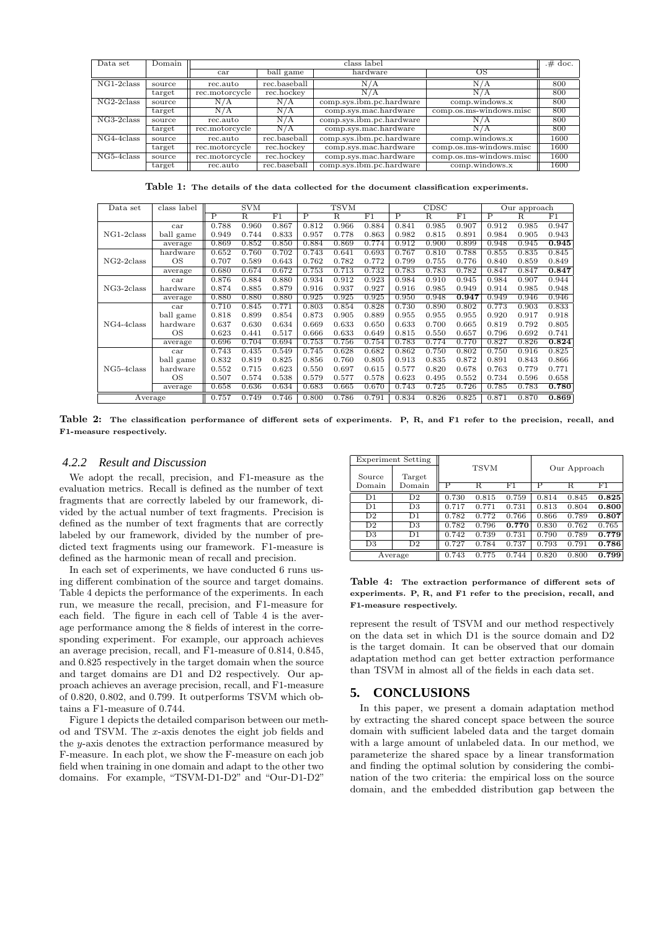| Data set                              | Domain | class label    |              |                          |                                       |      |  |  |  |
|---------------------------------------|--------|----------------|--------------|--------------------------|---------------------------------------|------|--|--|--|
|                                       |        | car            | ball game    | hardware                 | OS                                    |      |  |  |  |
| $NG1-2class$                          | source | rec.auto       | rec.baseball | N/A                      | $\overline{\rm N/A}$                  | 800  |  |  |  |
|                                       | target | rec.motorcycle | rec.hockey   | N/A                      | N/A                                   | 800  |  |  |  |
| $NG2-2class$                          | source | N/A            | N/A          | comp.sys.ibm.pc.hardware | comp.windows.x                        | 800  |  |  |  |
|                                       | target | N/A            | N/A          | comp.sys.mac.hardware    | comp.os.ms-windows.misc               | 800  |  |  |  |
| $NG3-2class$                          | source | rec.auto       | N/A          | comp.sys.ibm.pc.hardware | N/A                                   | 800  |  |  |  |
|                                       | target | rec.motorcycle | N7A          | comp.sys.mac.hardware    | N/A                                   | 800  |  |  |  |
| $NG4-4class$                          | source | rec.auto       | rec.baseball | comp.sys.ibm.pc.hardware | comp.windows.x                        | 1600 |  |  |  |
|                                       | target | rec.motorcycle | rec.hockey   | comp.sys.mac.hardware    | comp.os.ms-windows.misc               | 1600 |  |  |  |
| $\overline{\text{NG5-4}\text{class}}$ | source | rec.motorcycle | rec.hockey   | comp.sys.mac.hardware    | $comp. \overline{os.ms-windows.misc}$ | 1600 |  |  |  |
|                                       | target | rec.auto       | rec.baseball | comp.sys.ibm.pc.hardware | comp.windows.x                        | 1600 |  |  |  |

Table 1: The details of the data collected for the document classification experiments.

| Data set     | class label | SVM   |                                                                               | <b>TSVM</b> |            |       | CDSC  |       |       | Our approach |       |       |       |
|--------------|-------------|-------|-------------------------------------------------------------------------------|-------------|------------|-------|-------|-------|-------|--------------|-------|-------|-------|
|              |             | P     | R                                                                             | F1          | $_{\rm P}$ | R     | F1    | P     | R     | F1           | P     | R     | F1    |
| $NG1-2class$ | car         | 0.788 | 0.960                                                                         | 0.867       | 0.812      | 0.966 | 0.884 | 0.841 | 0.985 | 0.907        | 0.912 | 0.985 | 0.947 |
|              | ball game   | 0.949 | 0.744                                                                         | 0.833       | 0.957      | 0.778 | 0.863 | 0.982 | 0.815 | 0.891        | 0.984 | 0.905 | 0.943 |
|              | average     | 0.869 | 0.852                                                                         | 0.850       | 0.884      | 0.869 | 0.774 | 0.912 | 0.900 | 0.899        | 0.948 | 0.945 | 0.945 |
|              | hardware    | 0.652 | 0.760                                                                         | 0.702       | 0.743      | 0.641 | 0.693 | 0.767 | 0.810 | 0.788        | 0.855 | 0.835 | 0.845 |
| $NG2-2class$ | OS          | 0.707 | 0.589                                                                         | 0.643       | 0.762      | 0.782 | 0.772 | 0.799 | 0.755 | 0.776        | 0.840 | 0.859 | 0.849 |
|              | average     | 0.680 | 0.674                                                                         | 0.672       | 0.753      | 0.713 | 0.732 | 0.783 | 0.783 | 0.782        | 0.847 | 0.847 | 0.847 |
|              | car         | 0.876 | 0.884                                                                         | 0.880       | 0.934      | 0.912 | 0.923 | 0.984 | 0.910 | 0.945        | 0.984 | 0.907 | 0.944 |
| $NG3-2class$ | hardware    | 0.874 | 0.885                                                                         | 0.879       | 0.916      | 0.937 | 0.927 | 0.916 | 0.985 | 0.949        | 0.914 | 0.985 | 0.948 |
|              | average     | 0.880 | 0.880                                                                         | 0.880       | 0.925      | 0.925 | 0.925 | 0.950 | 0.948 | 0.947        | 0.949 | 0.946 | 0.946 |
|              | car         | 0.710 | 0.845                                                                         | 0.771       | 0.803      | 0.854 | 0.828 | 0.730 | 0.890 | 0.802        | 0.773 | 0.903 | 0.833 |
|              | ball game   | 0.818 | 0.899                                                                         | 0.854       | 0.873      | 0.905 | 0.889 | 0.955 | 0.955 | 0.955        | 0.920 | 0.917 | 0.918 |
| $NG4-4class$ | hardware    | 0.637 | 0.630                                                                         | 0.634       | 0.669      | 0.633 | 0.650 | 0.633 | 0.700 | 0.665        | 0.819 | 0.792 | 0.805 |
|              | OS          | 0.623 | 0.441                                                                         | 0.517       | 0.666      | 0.633 | 0.649 | 0.815 | 0.550 | 0.657        | 0.796 | 0.692 | 0.741 |
|              | average     | 0.696 | 0.704                                                                         | 0.694       | 0.753      | 0.756 | 0.754 | 0.783 | 0.774 | 0.770        | 0.827 | 0.826 | 0.824 |
| NG5-4class   | car         | 0.743 | 0.435                                                                         | 0.549       | 0.745      | 0.628 | 0.682 | 0.862 | 0.750 | 0.802        | 0.750 | 0.916 | 0.825 |
|              | ball game   | 0.832 | 0.819                                                                         | 0.825       | 0.856      | 0.760 | 0.805 | 0.913 | 0.835 | 0.872        | 0.891 | 0.843 | 0.866 |
|              | hardware    | 0.552 | 0.715                                                                         | 0.623       | 0.550      | 0.697 | 0.615 | 0.577 | 0.820 | 0.678        | 0.763 | 0.779 | 0.771 |
|              | OS          | 0.507 | 0.574                                                                         | 0.538       | 0.579      | 0.577 | 0.578 | 0.623 | 0.495 | 0.552        | 0.734 | 0.596 | 0.658 |
|              | average     | 0.658 | 0.636                                                                         | 0.634       | 0.683      | 0.665 | 0.670 | 0.743 | 0.725 | 0.726        | 0.785 | 0.783 | 0.780 |
| Average      |             | 0.757 | 0.746<br>0.786<br>0.791<br>0.834<br>0.826<br>0.825<br>0.871<br>0.749<br>0.800 |             | 0.870      | 0.869 |       |       |       |              |       |       |       |

Table 2: The classification performance of different sets of experiments. P, R, and F1 refer to the precision, recall, and F1-measure respectively.

#### *4.2.2 Result and Discussion*

We adopt the recall, precision, and F1-measure as the evaluation metrics. Recall is defined as the number of text fragments that are correctly labeled by our framework, divided by the actual number of text fragments. Precision is defined as the number of text fragments that are correctly labeled by our framework, divided by the number of predicted text fragments using our framework. F1-measure is defined as the harmonic mean of recall and precision.

In each set of experiments, we have conducted 6 runs using different combination of the source and target domains. Table 4 depicts the performance of the experiments. In each run, we measure the recall, precision, and F1-measure for each field. The figure in each cell of Table 4 is the average performance among the 8 fields of interest in the corresponding experiment. For example, our approach achieves an average precision, recall, and F1-measure of 0.814, 0.845, and 0.825 respectively in the target domain when the source and target domains are D1 and D2 respectively. Our approach achieves an average precision, recall, and F1-measure of 0.820, 0.802, and 0.799. It outperforms TSVM which obtains a F1-measure of 0.744.

Figure 1 depicts the detailed comparison between our method and TSVM. The x-axis denotes the eight job fields and the y-axis denotes the extraction performance measured by F-measure. In each plot, we show the F-measure on each job field when training in one domain and adapt to the other two domains. For example, "TSVM-D1-D2" and "Our-D1-D2"

| <b>Experiment Setting</b> |                |       |       |       |              |       |       |  |
|---------------------------|----------------|-------|-------|-------|--------------|-------|-------|--|
|                           |                | TSVM  |       |       | Our Approach |       |       |  |
| Source                    | Target         |       |       |       |              |       |       |  |
| Domain                    | Domain         | Р     | R     | F1    | Р            | R     | F1    |  |
| D1                        | D <sub>2</sub> | 0.730 | 0.815 | 0.759 | 0.814        | 0.845 | 0.825 |  |
| D1                        | D3             | 0.717 | 0.771 | 0.731 | 0.813        | 0.804 | 0.800 |  |
| D <sub>2</sub>            | D1             | 0.782 | 0.772 | 0.766 | 0.866        | 0.789 | 0.807 |  |
| D <sub>2</sub>            | D3             | 0.782 | 0.796 | 0.770 | 0.830        | 0.762 | 0.765 |  |
| D3                        | D1             | 0.742 | 0.739 | 0.731 | 0.790        | 0.789 | 0.779 |  |
| D3                        | D <sub>2</sub> | 0.727 | 0.784 | 0.737 | 0.793        | 0.791 | 0.786 |  |
| Average                   |                | 0.743 | 0.775 | 0.744 | 0.820        | 0.800 | 0.799 |  |

Table 4: The extraction performance of different sets of experiments. P, R, and F1 refer to the precision, recall, and F1-measure respectively.

represent the result of TSVM and our method respectively on the data set in which D1 is the source domain and D2 is the target domain. It can be observed that our domain adaptation method can get better extraction performance than TSVM in almost all of the fields in each data set.

### **5. CONCLUSIONS**

In this paper, we present a domain adaptation method by extracting the shared concept space between the source domain with sufficient labeled data and the target domain with a large amount of unlabeled data. In our method, we parameterize the shared space by a linear transformation and finding the optimal solution by considering the combination of the two criteria: the empirical loss on the source domain, and the embedded distribution gap between the